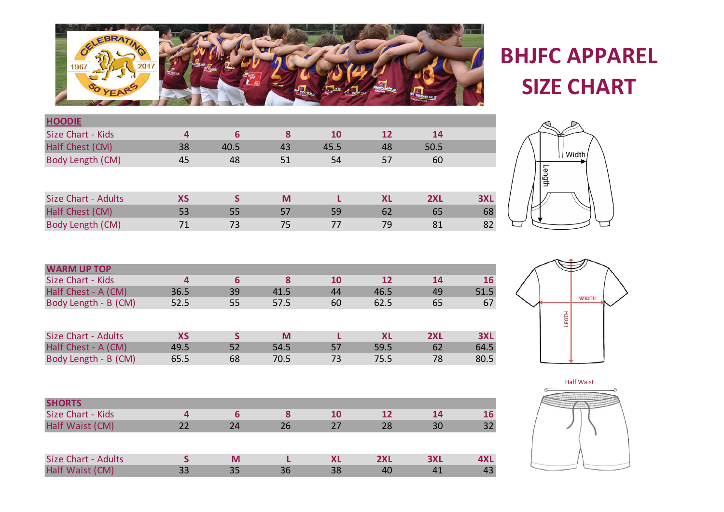

## **BHJFC APPAREL SIZE CHART**

| <b>HOODIE</b>              |           |      |    |           |           |      |            |
|----------------------------|-----------|------|----|-----------|-----------|------|------------|
| Size Chart - Kids          | 4         | 6    | 8  | <b>10</b> | 12        | 14   |            |
| Half Chest (CM)            | 38        | 40.5 | 43 | 45.5      | 48        | 50.5 |            |
| Body Length (CM)           | 45        | 48   | 51 | 54        | 57        | 60   |            |
|                            |           |      |    |           |           |      |            |
| <b>Size Chart - Adults</b> | <b>XS</b> |      | M  |           | <b>XL</b> | 2XL  | <b>3XL</b> |
| Half Chest (CM)            | 53        | 55   | 57 | 59        | 62        | 65   | 68         |
| Body Length (CM)           | 71        | 73   | 75 | 77        | 79        | 81   | 82         |



| <b>WARM UP TOP</b>   |           |    |      |           |           |     |           |
|----------------------|-----------|----|------|-----------|-----------|-----|-----------|
| Size Chart - Kids    | 4         | 6  | 8    | <b>10</b> | 12        | 14  | <b>16</b> |
| Half Chest - A (CM)  | 36.5      | 39 | 41.5 | 44        | 46.5      | 49  | 51.5      |
| Body Length - B (CM) | 52.5      | 55 | 57.5 | 60        | 62.5      | 65  | 67        |
|                      |           |    |      |           |           |     |           |
| Size Chart - Adults  | <b>XS</b> |    | M    |           | <b>XL</b> | 2XL | 3XL       |
| Half Chest - A (CM)  | 49.5      | 52 | 54.5 | 57        | 59.5      | 62  | 64.5      |
| Body Length - B (CM) | 65.5      | 68 | 70.5 | 73        | 75.5      | 78  | 80.5      |

| <b>SHORTS</b>              |    |    |    |    |     |     |     |
|----------------------------|----|----|----|----|-----|-----|-----|
| Size Chart - Kids          |    | ь  |    | 10 | 12  | 14  | 16  |
| Half Waist (CM)            | 22 | 24 | 26 | 27 | 28  | 30  | 32  |
|                            |    |    |    |    |     |     |     |
| <b>Size Chart - Adults</b> |    | M  |    | ΧL | 2XL | 3XL | 4XL |
| Half Waist (CM)            | 33 | 35 | 36 | 38 | 40  | 41  | 43  |





×